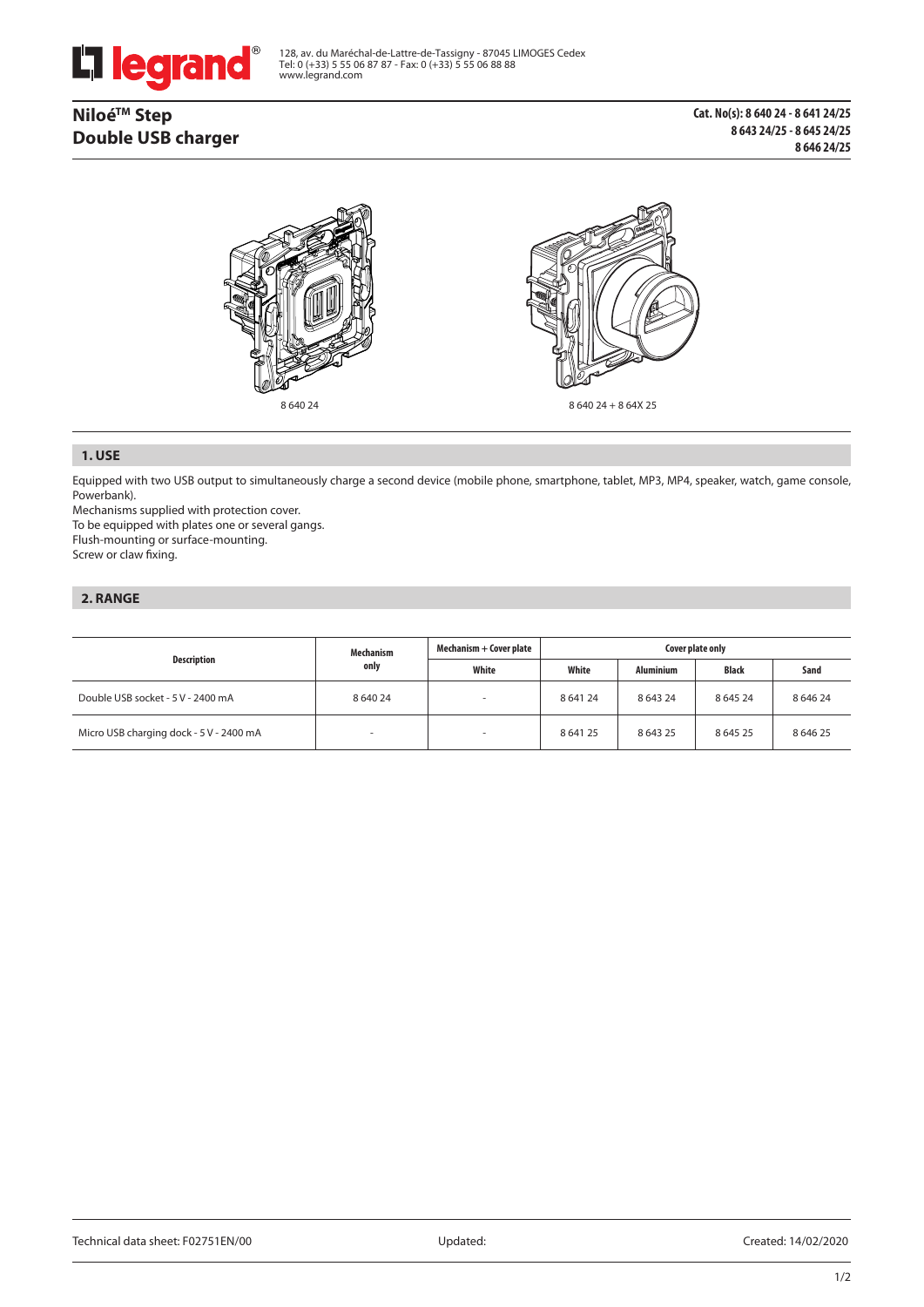

128, av. du Maréchal-de-Lattre-de-Tassigny - 87045 LIMOGES Cedex Tel: 0 (+33) 5 55 06 87 87 - Fax: 0 (+33) 5 55 06 88 88 www.legrand.com

# **NiloéTM Step Double USB charger**



### **1. USE**

Equipped with two USB output to simultaneously charge a second device (mobile phone, smartphone, tablet, MP3, MP4, speaker, watch, game console, Powerbank).

Mechanisms supplied with protection cover.

To be equipped with plates one or several gangs.

Flush-mounting or surface-mounting.

Screw or claw fixing.

## **2. RANGE**

| Description                             | Mechanism<br>only | Mechanism + Cover plate | Cover plate only |                  |             |             |
|-----------------------------------------|-------------------|-------------------------|------------------|------------------|-------------|-------------|
|                                         |                   | White                   | White            | <b>Aluminium</b> | Black       | Sand        |
| Double USB socket - 5 V - 2400 mA       | 8 640 24          | -                       | 8 641 24         | 8 6 4 3 2 4      | 8 6 4 5 2 4 | 8 6 4 6 2 4 |
| Micro USB charging dock - 5 V - 2400 mA |                   |                         | 8 641 25         | 8 6 4 3 2 5      | 8 6 4 5 2 5 | 864625      |